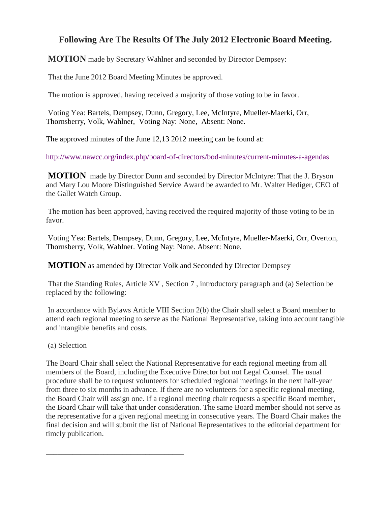## **Following Are The Results Of The July 2012 Electronic Board Meeting.**

**MOTION** made by Secretary Wahlner and seconded by Director Dempsey:

That the June 2012 Board Meeting Minutes be approved.

The motion is approved, having received a majority of those voting to be in favor.

Voting Yea: Bartels, Dempsey, Dunn, Gregory, Lee, McIntyre, Mueller-Maerki, Orr, Thornsberry, Volk, Wahlner, Voting Nay: None, Absent: None.

The approved minutes of the June 12,13 2012 meeting can be found at:

<http://www.nawcc.org/index.php/board-of-directors/bod-minutes/current-minutes-a-agendas>

**MOTION** made by Director Dunn and seconded by Director McIntyre: That the J. Bryson and Mary Lou Moore Distinguished Service Award be awarded to Mr. Walter Hediger, CEO of the Gallet Watch Group.

The motion has been approved, having received the required majority of those voting to be in favor.

Voting Yea: Bartels, Dempsey, Dunn, Gregory, Lee, McIntyre, Mueller-Maerki, Orr, Overton, Thornsberry, Volk, Wahlner. Voting Nay: None. Absent: None.

**MOTION** as amended by Director Volk and Seconded by Director Dempsey

That the Standing Rules, Article XV , Section 7 , introductory paragraph and (a) Selection be replaced by the following:

In accordance with Bylaws Article VIII Section 2(b) the Chair shall select a Board member to attend each regional meeting to serve as the National Representative, taking into account tangible and intangible benefits and costs.

(a) Selection

\_\_\_\_\_\_\_\_\_\_\_\_\_\_\_\_\_\_\_\_\_\_\_\_\_\_\_\_\_\_\_\_\_\_\_\_

The Board Chair shall select the National Representative for each regional meeting from all members of the Board, including the Executive Director but not Legal Counsel. The usual procedure shall be to request volunteers for scheduled regional meetings in the next half-year from three to six months in advance. If there are no volunteers for a specific regional meeting, the Board Chair will assign one. If a regional meeting chair requests a specific Board member, the Board Chair will take that under consideration. The same Board member should not serve as the representative for a given regional meeting in consecutive years. The Board Chair makes the final decision and will submit the list of National Representatives to the editorial department for timely publication.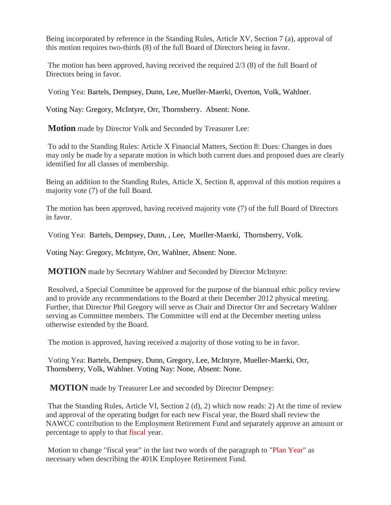Being incorporated by reference in the Standing Rules, Article XV, Section 7 (a), approval of this motion requires two-thirds (8) of the full Board of Directors being in favor.

The motion has been approved, having received the required 2/3 (8) of the full Board of Directors being in favor.

Voting Yea: Bartels, Dempsey, Dunn, Lee, Mueller-Maerki, Overton, Volk, Wahlner.

Voting Nay: Gregory, McIntyre, Orr, Thornsberry. Absent: None.

**Motion** made by Director Volk and Seconded by Treasurer Lee:

To add to the Standing Rules: Article X Financial Matters, Section 8: Dues: Changes in dues may only be made by a separate motion in which both current dues and proposed dues are clearly identified for all classes of membership.

Being an addition to the Standing Rules, Article X, Section 8, approval of this motion requires a majority vote (7) of the full Board.

The motion has been approved, having received majority vote (7) of the full Board of Directors in favor.

Voting Yea: Bartels, Dempsey, Dunn, , Lee, Mueller-Maerki, Thornsberry, Volk.

Voting Nay: Gregory, McIntyre, Orr, Wahlner, Absent: None.

**MOTION** made by Secretary Wahlner and Seconded by Director McIntyre:

Resolved, a Special Committee be approved for the purpose of the biannual ethic policy review and to provide any recommendations to the Board at their December 2012 physical meeting. Further, that Director Phil Gregory will serve as Chair and Director Orr and Secretary Wahlner serving as Committee members. The Committee will end at the December meeting unless otherwise extended by the Board.

The motion is approved, having received a majority of those voting to be in favor.

Voting Yea: Bartels, Dempsey, Dunn, Gregory, Lee, McIntyre, Mueller-Maerki, Orr, Thornsberry, Volk, Wahlner. Voting Nay: None, Absent: None.

**MOTION** made by Treasurer Lee and seconded by Director Dempsey:

That the Standing Rules, Article VI, Section 2 (d), 2) which now reads: 2) At the time of review and approval of the operating budget for each new Fiscal year, the Board shall review the NAWCC contribution to the Employment Retirement Fund and separately approve an amount or percentage to apply to that fiscal year.

Motion to change "fiscal year" in the last two words of the paragraph to "Plan Year" as necessary when describing the 401K Employee Retirement Fund.